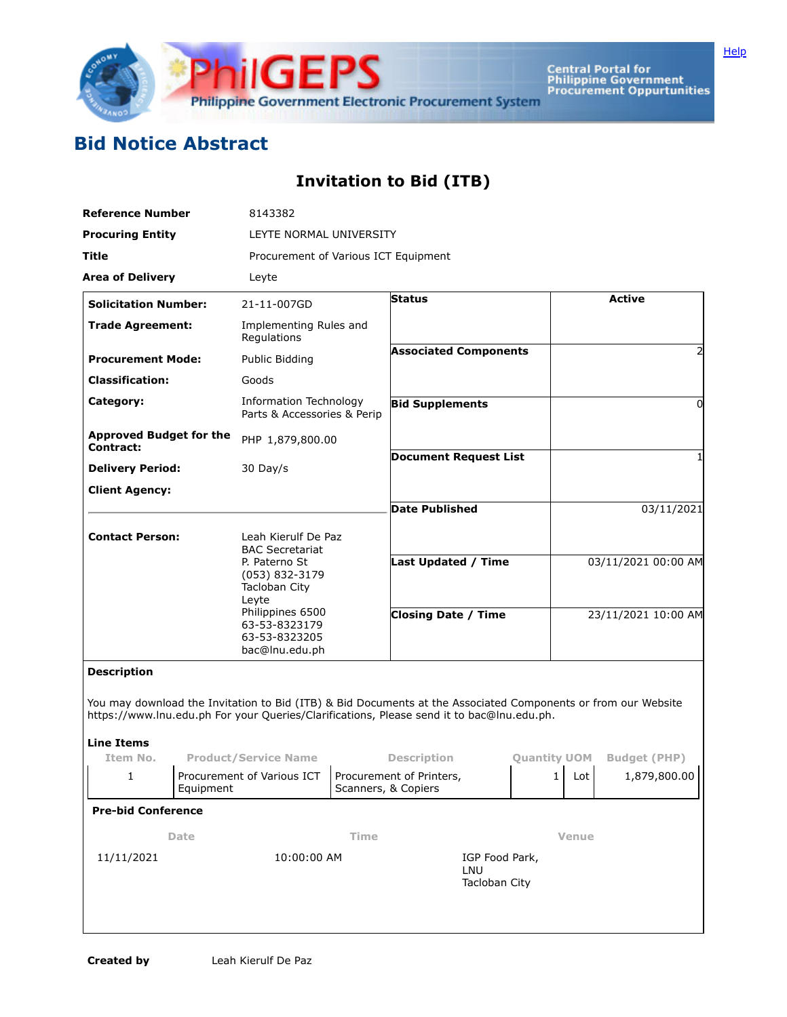

Central Portal for<br>Philippine Government<br>Procurement Oppurtunities

## **Bid Notice Abstract**

## **Invitation to Bid (ITB)**

| <b>Reference Number</b>                            |             | 8143382                                                                                                                                                     |  |                                                                                                                                                                                                            |                     |                     |                                     |
|----------------------------------------------------|-------------|-------------------------------------------------------------------------------------------------------------------------------------------------------------|--|------------------------------------------------------------------------------------------------------------------------------------------------------------------------------------------------------------|---------------------|---------------------|-------------------------------------|
| <b>Procuring Entity</b>                            |             | LEYTE NORMAL UNIVERSITY                                                                                                                                     |  |                                                                                                                                                                                                            |                     |                     |                                     |
| Title                                              |             | Procurement of Various ICT Equipment                                                                                                                        |  |                                                                                                                                                                                                            |                     |                     |                                     |
| <b>Area of Delivery</b>                            |             | Leyte                                                                                                                                                       |  |                                                                                                                                                                                                            |                     |                     |                                     |
| <b>Solicitation Number:</b>                        |             | 21-11-007GD                                                                                                                                                 |  | <b>Status</b>                                                                                                                                                                                              |                     |                     | <b>Active</b>                       |
| <b>Trade Agreement:</b>                            |             | Implementing Rules and<br>Regulations                                                                                                                       |  |                                                                                                                                                                                                            |                     |                     |                                     |
| <b>Procurement Mode:</b>                           |             | Public Bidding                                                                                                                                              |  | <b>Associated Components</b>                                                                                                                                                                               |                     |                     |                                     |
| <b>Classification:</b>                             |             | Goods                                                                                                                                                       |  |                                                                                                                                                                                                            |                     |                     |                                     |
| Category:                                          |             | Information Technology<br>Parts & Accessories & Perip                                                                                                       |  | <b>Bid Supplements</b>                                                                                                                                                                                     |                     |                     | 0                                   |
| <b>Approved Budget for the</b><br><b>Contract:</b> |             | PHP 1,879,800.00                                                                                                                                            |  |                                                                                                                                                                                                            |                     |                     |                                     |
| <b>Delivery Period:</b>                            |             | 30 Day/s                                                                                                                                                    |  | <b>Document Request List</b>                                                                                                                                                                               |                     |                     |                                     |
| <b>Client Agency:</b>                              |             |                                                                                                                                                             |  |                                                                                                                                                                                                            |                     |                     |                                     |
|                                                    |             |                                                                                                                                                             |  | Date Published                                                                                                                                                                                             |                     | 03/11/2021          |                                     |
| <b>Contact Person:</b>                             |             | Leah Kierulf De Paz                                                                                                                                         |  |                                                                                                                                                                                                            |                     |                     |                                     |
|                                                    |             | <b>BAC Secretariat</b><br>P. Paterno St<br>(053) 832-3179<br>Tacloban City<br>Leyte<br>Philippines 6500<br>63-53-8323179<br>63-53-8323205<br>bac@lnu.edu.ph |  | Last Updated / Time                                                                                                                                                                                        |                     | 03/11/2021 00:00 AM |                                     |
|                                                    |             |                                                                                                                                                             |  | <b>Closing Date / Time</b>                                                                                                                                                                                 |                     | 23/11/2021 10:00 AM |                                     |
| <b>Description</b>                                 |             |                                                                                                                                                             |  |                                                                                                                                                                                                            |                     |                     |                                     |
|                                                    |             |                                                                                                                                                             |  | You may download the Invitation to Bid (ITB) & Bid Documents at the Associated Components or from our Website<br>https://www.lnu.edu.ph For your Queries/Clarifications, Please send it to bac@lnu.edu.ph. |                     |                     |                                     |
| <b>Line Items</b>                                  |             |                                                                                                                                                             |  |                                                                                                                                                                                                            |                     |                     |                                     |
| Item No.<br>1                                      |             | <b>Product/Service Name</b><br>Procurement of Various ICT<br>Equipment                                                                                      |  | <b>Description</b><br>Procurement of Printers,<br>Scanners, & Copiers                                                                                                                                      | <b>Quantity UOM</b> | $\mathbf{1}$<br>Lot | <b>Budget (PHP)</b><br>1,879,800.00 |
| <b>Pre-bid Conference</b>                          |             |                                                                                                                                                             |  |                                                                                                                                                                                                            |                     |                     |                                     |
| Date                                               |             | Time                                                                                                                                                        |  |                                                                                                                                                                                                            | <b>Venue</b>        |                     |                                     |
| 11/11/2021                                         | 10:00:00 AM |                                                                                                                                                             |  | IGP Food Park,<br>LNU<br>Tacloban City                                                                                                                                                                     |                     |                     |                                     |
|                                                    |             |                                                                                                                                                             |  |                                                                                                                                                                                                            |                     |                     |                                     |